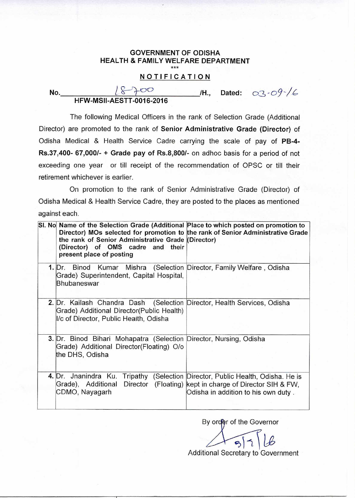## **GOVERNMENT OF ODISHA HEALTH & FAMILY WELFARE DEPARTMENT**  \*\*\*

## **NOTIFICATION**

| No. |                                 |  | Dated: $0.3 - 0.9 - 6$ |
|-----|---------------------------------|--|------------------------|
|     | <b>HFW-MSII-AESTT-0016-2016</b> |  |                        |

The following Medical Officers in the rank of Selection Grade (Additional Director) are promoted to the rank of **Senior Administrative Grade (Director)** of Odisha Medical & Health Service Cadre carrying the scale of pay of **PB-4- Rs.37,400- 67,000/- + Grade pay of Rs.8,8001-** on adhoc basis for a period of not exceeding one year or till receipt of the recommendation of OPSC or till their retirement whichever is earlier.

On promotion to the rank of Senior Administrative Grade (Director) of Odisha Medical & Health Service Cadre, they are posted to the places as mentioned against each.

| SI. No Name of the Selection Grade (Additional Place to which posted on promotion to<br>Director) MOs selected for promotion to the rank of Senior Administrative Grade<br>the rank of Senior Administrative Grade (Director)<br>(Director) of OMS cadre and their<br>present place of posting |                                                                                                 |
|------------------------------------------------------------------------------------------------------------------------------------------------------------------------------------------------------------------------------------------------------------------------------------------------|-------------------------------------------------------------------------------------------------|
| 1. Dr. Binod Kumar Mishra (Selection Director, Family Welfare, Odisha<br>Grade) Superintendent, Capital Hospital,<br>Bhubaneswar                                                                                                                                                               |                                                                                                 |
| 2. Dr. Kailash Chandra Dash (Selection Director, Health Services, Odisha<br>Grade) Additional Director(Public Health)<br>I/c of Director, Public Health, Odisha                                                                                                                                |                                                                                                 |
| 3. Dr. Binod Bihari Mohapatra (Selection Director, Nursing, Odisha<br>Grade) Additional Director(Floating) O/o<br>the DHS, Odisha                                                                                                                                                              |                                                                                                 |
| 4. Dr. Jnanindra Ku. Tripathy (Selection Director, Public Health, Odisha. He is<br>Grade), Additional<br>CDMO, Nayagarh                                                                                                                                                                        | Director (Floating) kept in charge of Director SIH & FW,<br>Odisha in addition to his own duty. |

By order of the Governor

 $\mathcal{S}$ Additional Secretary to Government